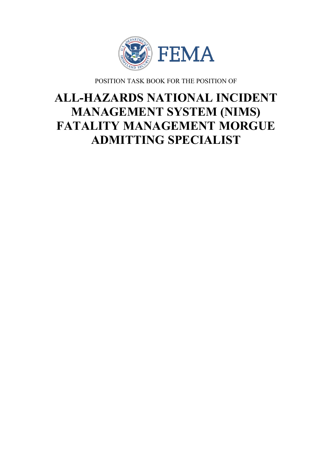

POSITION TASK BOOK FOR THE POSITION OF

# **ALL-HAZARDS NATIONAL INCIDENT MANAGEMENT SYSTEM (NIMS) FATALITY MANAGEMENT MORGUE ADMITTING SPECIALIST**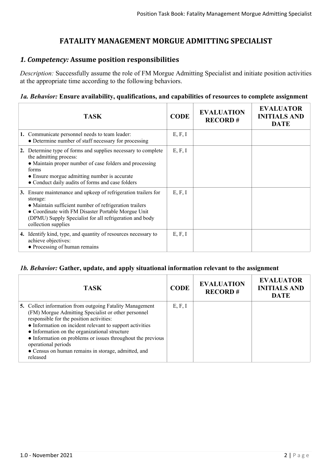## **FATALITY MANAGEMENT MORGUE ADMITTING SPECIALIST**

### *1. Competency:* **Assume position responsibilities**

*Description:* Successfully assume the role of FM Morgue Admitting Specialist and initiate position activities at the appropriate time according to the following behaviors.

#### *1a. Behavior:* **Ensure availability, qualifications, and capabilities of resources to complete assignment**

|    | <b>TASK</b>                                                                                                                                                                                                                                                               | <b>CODE</b> | <b>EVALUATION</b><br><b>RECORD#</b> | <b>EVALUATOR</b><br><b>INITIALS AND</b><br><b>DATE</b> |
|----|---------------------------------------------------------------------------------------------------------------------------------------------------------------------------------------------------------------------------------------------------------------------------|-------------|-------------------------------------|--------------------------------------------------------|
|    | 1. Communicate personnel needs to team leader:<br>• Determine number of staff necessary for processing                                                                                                                                                                    | E, F, I     |                                     |                                                        |
|    | 2. Determine type of forms and supplies necessary to complete<br>the admitting process:<br>• Maintain proper number of case folders and processing<br>forms<br>• Ensure morgue admitting number is accurate<br>• Conduct daily audits of forms and case folders           | E, F, I     |                                     |                                                        |
| 3. | Ensure maintenance and upkeep of refrigeration trailers for<br>storage:<br>• Maintain sufficient number of refrigeration trailers<br>• Coordinate with FM Disaster Portable Morgue Unit<br>(DPMU) Supply Specialist for all refrigeration and body<br>collection supplies | E, F, I     |                                     |                                                        |
|    | 4. Identify kind, type, and quantity of resources necessary to<br>achieve objectives:<br>• Processing of human remains                                                                                                                                                    | E, F, I     |                                     |                                                        |

#### *1b. Behavior:* **Gather, update, and apply situational information relevant to the assignment**

| <b>TASK</b>                                                                                                                                                                                                                                                                                                                                                                                                                       | <b>CODE</b> | <b>EVALUATION</b><br><b>RECORD#</b> | <b>EVALUATOR</b><br><b>INITIALS AND</b><br><b>DATE</b> |
|-----------------------------------------------------------------------------------------------------------------------------------------------------------------------------------------------------------------------------------------------------------------------------------------------------------------------------------------------------------------------------------------------------------------------------------|-------------|-------------------------------------|--------------------------------------------------------|
| 5. Collect information from outgoing Fatality Management<br>(FM) Morgue Admitting Specialist or other personnel<br>responsible for the position activities:<br>• Information on incident relevant to support activities<br>• Information on the organizational structure<br>• Information on problems or issues throughout the previous<br>operational periods<br>• Census on human remains in storage, admitted, and<br>released | E, F, I     |                                     |                                                        |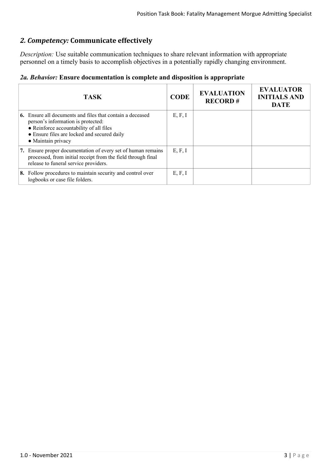# *2. Competency:* **Communicate effectively**

*Description:* Use suitable communication techniques to share relevant information with appropriate personnel on a timely basis to accomplish objectives in a potentially rapidly changing environment.

|  | 2a. Behavior: Ensure documentation is complete and disposition is appropriate |  |  |  |
|--|-------------------------------------------------------------------------------|--|--|--|
|  |                                                                               |  |  |  |

| <b>TASK</b>                                                                                                                                                                                                            | <b>CODE</b> | <b>EVALUATION</b><br><b>RECORD#</b> | <b>EVALUATOR</b><br><b>INITIALS AND</b><br><b>DATE</b> |
|------------------------------------------------------------------------------------------------------------------------------------------------------------------------------------------------------------------------|-------------|-------------------------------------|--------------------------------------------------------|
| <b>6.</b> Ensure all documents and files that contain a deceased<br>person's information is protected:<br>• Reinforce accountability of all files<br>• Ensure files are locked and secured daily<br>• Maintain privacy | E, F, I     |                                     |                                                        |
| 7. Ensure proper documentation of every set of human remains<br>processed, from initial receipt from the field through final<br>release to funeral service providers.                                                  | E, F, I     |                                     |                                                        |
| 8. Follow procedures to maintain security and control over<br>logbooks or case file folders.                                                                                                                           | E, F, I     |                                     |                                                        |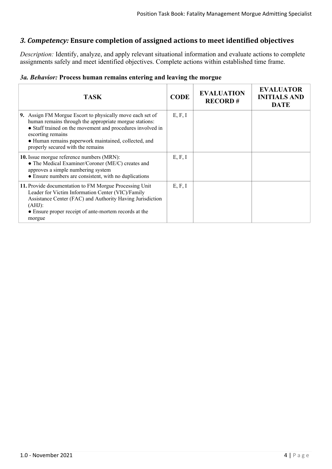## *3. Competency:* **Ensure completion of assigned actions to meet identified objectives**

*Description:* Identify, analyze, and apply relevant situational information and evaluate actions to complete assignments safely and meet identified objectives. Complete actions within established time frame.

|  | 3a. Behavior: Process human remains entering and leaving the morgue |  |  |  |  |  |  |  |  |
|--|---------------------------------------------------------------------|--|--|--|--|--|--|--|--|
|--|---------------------------------------------------------------------|--|--|--|--|--|--|--|--|

| <b>TASK</b>                                                                                                                                                                                                                                                                                         | <b>CODE</b> | <b>EVALUATION</b><br><b>RECORD#</b> | <b>EVALUATOR</b><br><b>INITIALS AND</b><br><b>DATE</b> |
|-----------------------------------------------------------------------------------------------------------------------------------------------------------------------------------------------------------------------------------------------------------------------------------------------------|-------------|-------------------------------------|--------------------------------------------------------|
| 9. Assign FM Morgue Escort to physically move each set of<br>human remains through the appropriate morgue stations:<br>• Staff trained on the movement and procedures involved in<br>escorting remains<br>• Human remains paperwork maintained, collected, and<br>properly secured with the remains | E, F, I     |                                     |                                                        |
| 10. Issue morgue reference numbers (MRN):<br>• The Medical Examiner/Coroner (ME/C) creates and<br>approves a simple numbering system<br>• Ensure numbers are consistent, with no duplications                                                                                                       | E, F, I     |                                     |                                                        |
| 11. Provide documentation to FM Morgue Processing Unit<br>Leader for Victim Information Center (VIC)/Family<br>Assistance Center (FAC) and Authority Having Jurisdiction<br>(AHJ):<br>• Ensure proper receipt of ante-mortem records at the<br>morgue                                               | E, F, I     |                                     |                                                        |